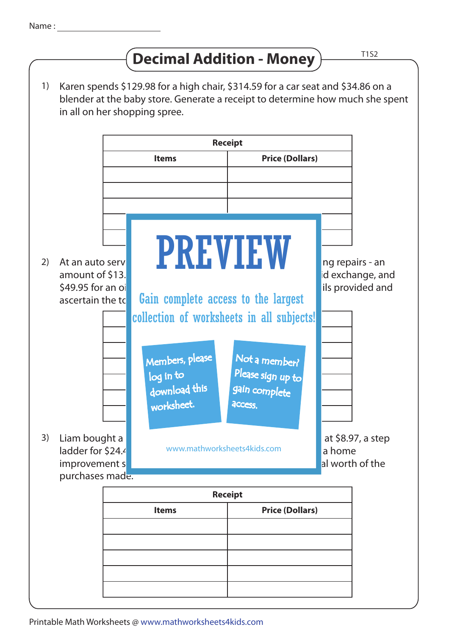## **Decimal Addition - Money**